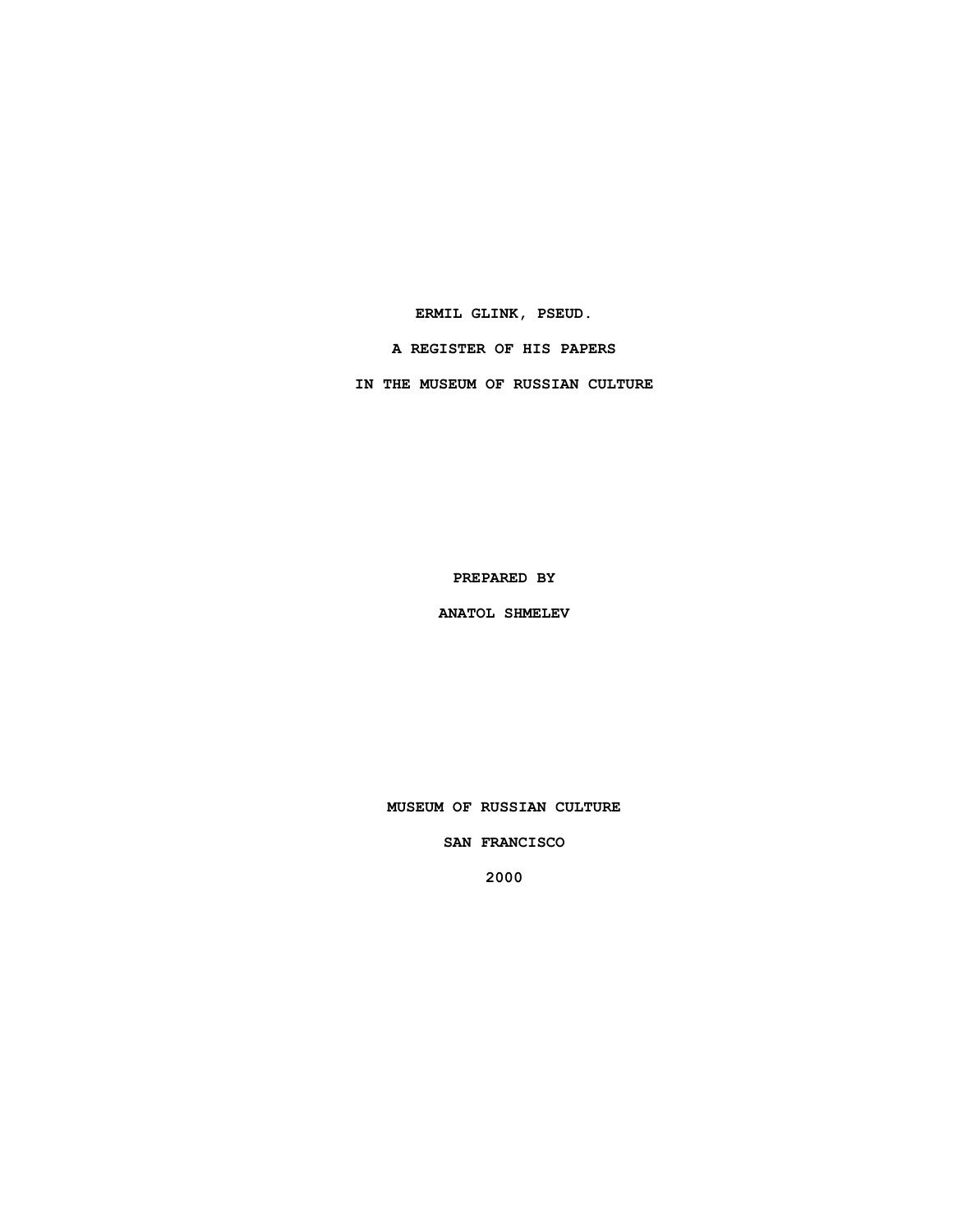**ERMIL GLINK, PSEUD.**

**A REGISTER OF HIS PAPERS**

**IN THE MUSEUM OF RUSSIAN CULTURE**

**PREPARED BY**

**ANATOL SHMELEV**

**MUSEUM OF RUSSIAN CULTURE**

**SAN FRANCISCO**

**2000**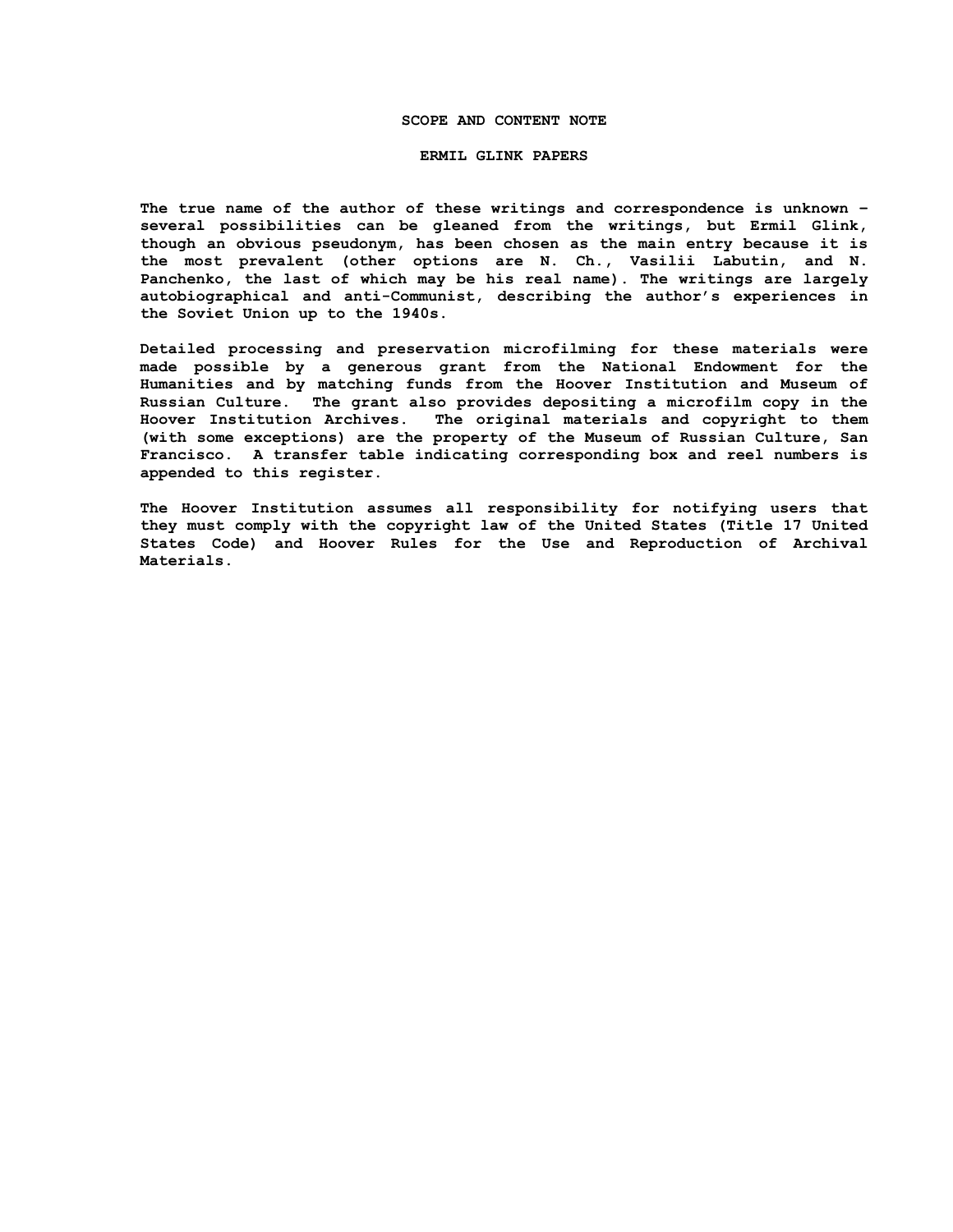#### **SCOPE AND CONTENT NOTE**

#### **ERMIL GLINK PAPERS**

**The true name of the author of these writings and correspondence is unknown – several possibilities can be gleaned from the writings, but Ermil Glink, though an obvious pseudonym, has been chosen as the main entry because it is the most prevalent (other options are N. Ch., Vasilii Labutin, and N. Panchenko, the last of which may be his real name). The writings are largely autobiographical and anti-Communist, describing the author's experiences in the Soviet Union up to the 1940s.**

**Detailed processing and preservation microfilming for these materials were made possible by a generous grant from the National Endowment for the Humanities and by matching funds from the Hoover Institution and Museum of Russian Culture. The grant also provides depositing a microfilm copy in the Hoover Institution Archives. The original materials and copyright to them (with some exceptions) are the property of the Museum of Russian Culture, San Francisco. A transfer table indicating corresponding box and reel numbers is appended to this register.**

**The Hoover Institution assumes all responsibility for notifying users that they must comply with the copyright law of the United States (Title 17 United States Code) and Hoover Rules for the Use and Reproduction of Archival Materials.**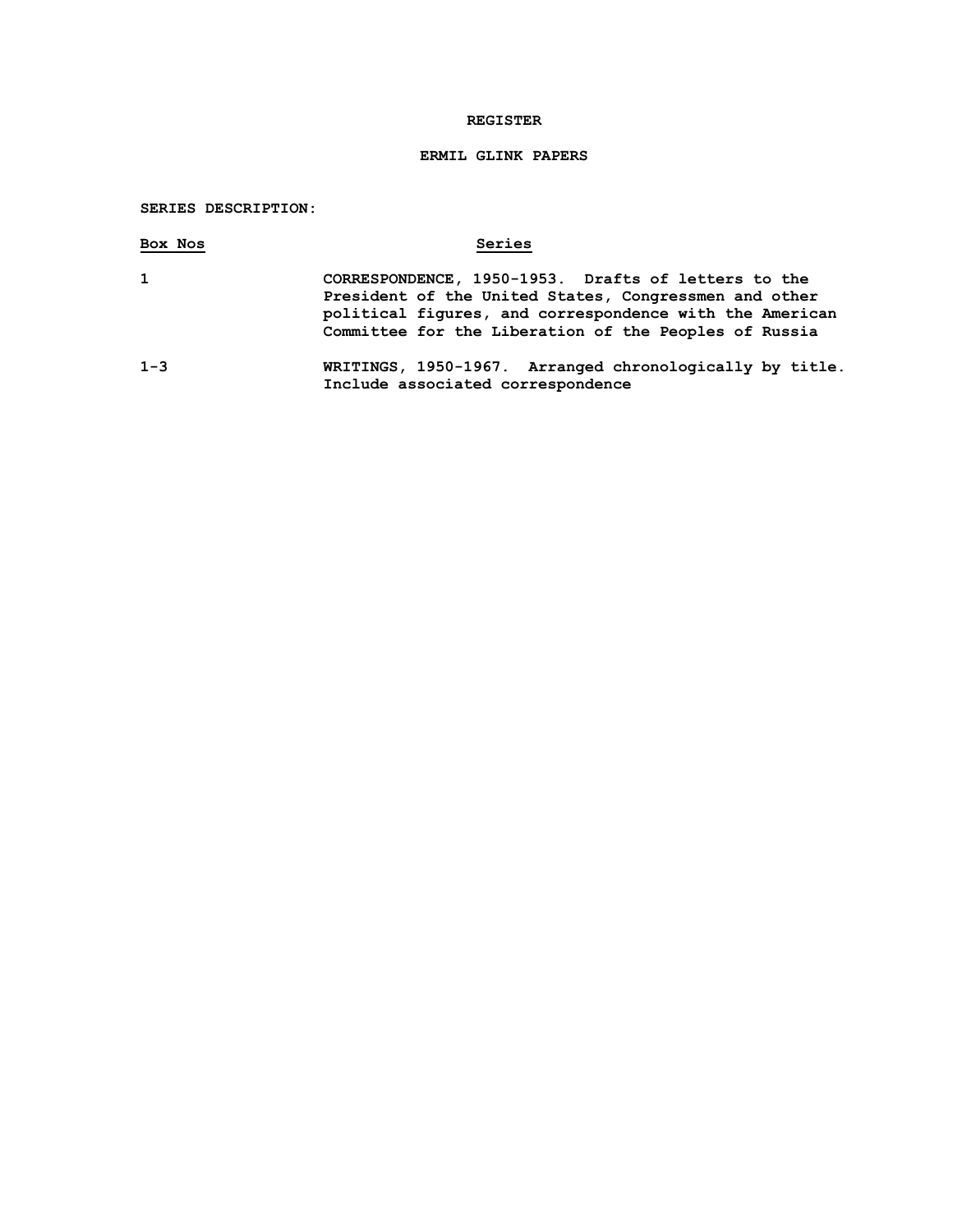## **REGISTER**

# **ERMIL GLINK PAPERS**

## **SERIES DESCRIPTION:**

| Box Nos      | Series                                                                                                                                                                                                                           |
|--------------|----------------------------------------------------------------------------------------------------------------------------------------------------------------------------------------------------------------------------------|
| $\mathbf{1}$ | CORRESPONDENCE, 1950-1953. Drafts of letters to the<br>President of the United States, Congressmen and other<br>political figures, and correspondence with the American<br>Committee for the Liberation of the Peoples of Russia |
| $1 - 3$      | WRITINGS, 1950-1967. Arranged chronologically by title.<br>Include associated correspondence                                                                                                                                     |